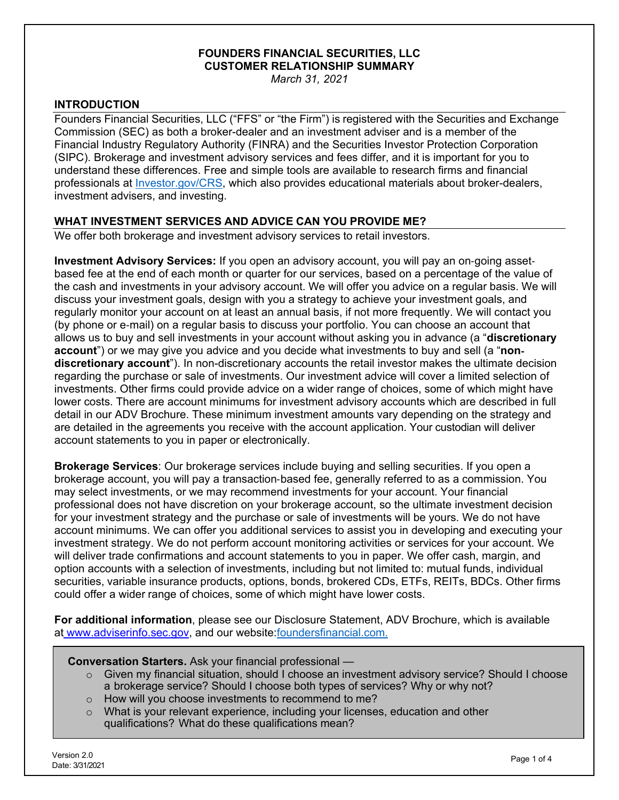# **FOUNDERS FINANCIAL SECURITIES, LLC CUSTOMER RELATIONSHIP SUMMARY**

*March 31, 2021* 

# **INTRODUCTION**

Founders Financial Securities, LLC ("FFS" or "the Firm") is registered with the Securities and Exchange Commission (SEC) as both a broker-dealer and an investment adviser and is a member of the Financial Industry Regulatory Authority (FINRA) and the Securities Investor Protection Corporation (SIPC). Brokerage and investment advisory services and fees differ, and it is important for you to understand these differences. Free and simple tools are available to research firms and financial professionals at *Investor.gov/CRS*, which also provides educational materials about broker-dealers, investment advisers, and investing.

# **WHAT INVESTMENT SERVICES AND ADVICE CAN YOU PROVIDE ME?**

We offer both brokerage and investment advisory services to retail investors.

**Investment Advisory Services:** If you open an advisory account, you will pay an on-going assetbased fee at the end of each month or quarter for our services, based on a percentage of the value of the cash and investments in your advisory account. We will offer you advice on a regular basis. We will discuss your investment goals, design with you a strategy to achieve your investment goals, and regularly monitor your account on at least an annual basis, if not more frequently. We will contact you (by phone or e-mail) on a regular basis to discuss your portfolio. You can choose an account that allows us to buy and sell investments in your account without asking you in advance (a "**discretionary account**") or we may give you advice and you decide what investments to buy and sell (a "**nondiscretionary account**"). In non-discretionary accounts the retail investor makes the ultimate decision regarding the purchase or sale of investments. Our investment advice will cover a limited selection of investments. Other firms could provide advice on a wider range of choices, some of which might have lower costs. There are account minimums for investment advisory accounts which are described in full detail in our ADV Brochure. These minimum investment amounts vary depending on the strategy and are detailed in the agreements you receive with the account application. Your custodian will deliver account statements to you in paper or electronically.

**Brokerage Services**: Our brokerage services include buying and selling securities. If you open a brokerage account, you will pay a transaction-based fee, generally referred to as a commission. You may select investments, or we may recommend investments for your account. Your financial professional does not have discretion on your brokerage account, so the ultimate investment decision for your investment strategy and the purchase or sale of investments will be yours. We do not have account minimums. We can offer you additional services to assist you in developing and executing your investment strategy. We do not perform account monitoring activities or services for your account. We will deliver trade confirmations and account statements to you in paper. We offer cash, margin, and option accounts with a selection of investments, including but not limited to: mutual funds, individual securities, variable insurance products, options, bonds, brokered CDs, ETFs, REITs, BDCs. Other firms could offer a wider range of choices, some of which might have lower costs.

**For additional information**, please see our Disclosure Statement, ADV Brochure, which is available at [www.adviserinfo.sec.gov,](WWW.ADVISERINFO.SEC.GOV) and our website[: foundersfinancial.com.](www.foundersfinancial.com)

**Conversation Starters.** Ask your financial professional —

- o Given my financial situation, should I choose an investment advisory service? Should I choose a brokerage service? Should I choose both types of services? Why or why not?
- o How will you choose investments to recommend to me?
- What is your relevant experience, including your licenses, education and other qualifications? What do these qualifications mean?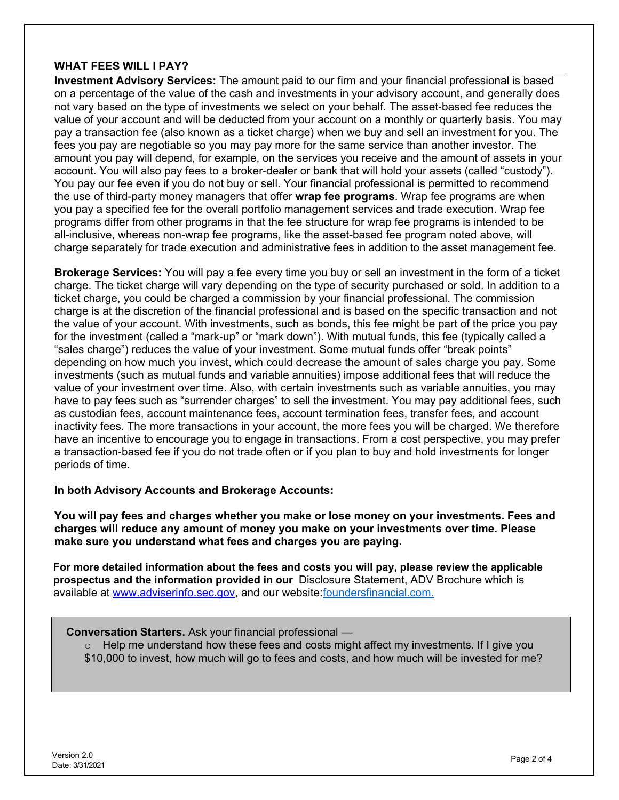# **WHAT FEES WILL I PAY?**

**Investment Advisory Services:** The amount paid to our firm and your financial professional is based on a percentage of the value of the cash and investments in your advisory account, and generally does not vary based on the type of investments we select on your behalf. The asset-based fee reduces the value of your account and will be deducted from your account on a monthly or quarterly basis. You may pay a transaction fee (also known as a ticket charge) when we buy and sell an investment for you. The fees you pay are negotiable so you may pay more for the same service than another investor. The amount you pay will depend, for example, on the services you receive and the amount of assets in your account. You will also pay fees to a broker-dealer or bank that will hold your assets (called "custody"). You pay our fee even if you do not buy or sell. Your financial professional is permitted to recommend the use of third-party money managers that offer **wrap fee programs**. Wrap fee programs are when you pay a specified fee for the overall portfolio management services and trade execution. Wrap fee programs differ from other programs in that the fee structure for wrap fee programs is intended to be all-inclusive, whereas non-wrap fee programs, like the asset-based fee program noted above, will charge separately for trade execution and administrative fees in addition to the asset management fee.

**Brokerage Services:** You will pay a fee every time you buy or sell an investment in the form of a ticket charge. The ticket charge will vary depending on the type of security purchased or sold. In addition to a ticket charge, you could be charged a commission by your financial professional. The commission charge is at the discretion of the financial professional and is based on the specific transaction and not the value of your account. With investments, such as bonds, this fee might be part of the price you pay for the investment (called a "mark-up" or "mark down"). With mutual funds, this fee (typically called a "sales charge") reduces the value of your investment. Some mutual funds offer "break points" depending on how much you invest, which could decrease the amount of sales charge you pay. Some investments (such as mutual funds and variable annuities) impose additional fees that will reduce the value of your investment over time. Also, with certain investments such as variable annuities, you may have to pay fees such as "surrender charges" to sell the investment. You may pay additional fees, such as custodian fees, account maintenance fees, account termination fees, transfer fees, and account inactivity fees. The more transactions in your account, the more fees you will be charged. We therefore have an incentive to encourage you to engage in transactions. From a cost perspective, you may prefer a transaction-based fee if you do not trade often or if you plan to buy and hold investments for longer periods of time.

### **In both Advisory Accounts and Brokerage Accounts:**

**You will pay fees and charges whether you make or lose money on your investments. Fees and charges will reduce any amount of money you make on your investments over time. Please make sure you understand what fees and charges you are paying.** 

**For more detailed information about the fees and costs you will pay, please review the applicable prospectus and the information provided in our** Disclosure Statement, ADV Brochure which is available at [www.adviserinfo.sec.gov,](WWW.ADVISERINFO.SEC.GOV) and our website[: foundersfinancial.com.](www.foundersfinancial.com)

**Conversation Starters.** Ask your financial professional —

 $\circ$  Help me understand how these fees and costs might affect my investments. If I give you \$10,000 to invest, how much will go to fees and costs, and how much will be invested for me?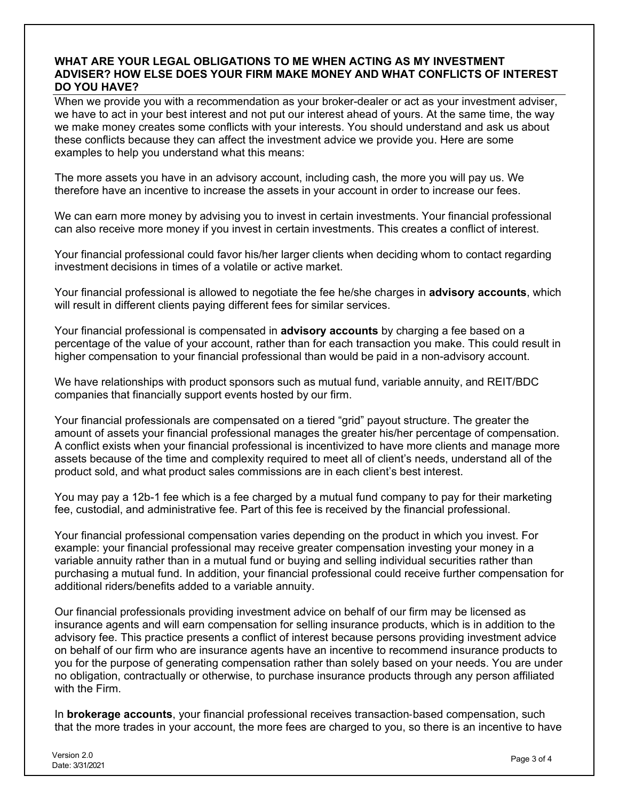## **WHAT ARE YOUR LEGAL OBLIGATIONS TO ME WHEN ACTING AS MY INVESTMENT ADVISER? HOW ELSE DOES YOUR FIRM MAKE MONEY AND WHAT CONFLICTS OF INTEREST DO YOU HAVE?**

When we provide you with a recommendation as your broker-dealer or act as your investment adviser, we have to act in your best interest and not put our interest ahead of yours. At the same time, the way we make money creates some conflicts with your interests. You should understand and ask us about these conflicts because they can affect the investment advice we provide you. Here are some examples to help you understand what this means:

The more assets you have in an advisory account, including cash, the more you will pay us. We therefore have an incentive to increase the assets in your account in order to increase our fees.

We can earn more money by advising you to invest in certain investments. Your financial professional can also receive more money if you invest in certain investments. This creates a conflict of interest.

Your financial professional could favor his/her larger clients when deciding whom to contact regarding investment decisions in times of a volatile or active market.

Your financial professional is allowed to negotiate the fee he/she charges in **advisory accounts**, which will result in different clients paying different fees for similar services.

Your financial professional is compensated in **advisory accounts** by charging a fee based on a percentage of the value of your account, rather than for each transaction you make. This could result in higher compensation to your financial professional than would be paid in a non-advisory account.

We have relationships with product sponsors such as mutual fund, variable annuity, and REIT/BDC companies that financially support events hosted by our firm.

Your financial professionals are compensated on a tiered "grid" payout structure. The greater the amount of assets your financial professional manages the greater his/her percentage of compensation. A conflict exists when your financial professional is incentivized to have more clients and manage more assets because of the time and complexity required to meet all of client's needs, understand all of the product sold, and what product sales commissions are in each client's best interest.

You may pay a 12b-1 fee which is a fee charged by a mutual fund company to pay for their marketing fee, custodial, and administrative fee. Part of this fee is received by the financial professional.

Your financial professional compensation varies depending on the product in which you invest. For example: your financial professional may receive greater compensation investing your money in a variable annuity rather than in a mutual fund or buying and selling individual securities rather than purchasing a mutual fund. In addition, your financial professional could receive further compensation for additional riders/benefits added to a variable annuity.

Our financial professionals providing investment advice on behalf of our firm may be licensed as insurance agents and will earn compensation for selling insurance products, which is in addition to the advisory fee. This practice presents a conflict of interest because persons providing investment advice on behalf of our firm who are insurance agents have an incentive to recommend insurance products to you for the purpose of generating compensation rather than solely based on your needs. You are under no obligation, contractually or otherwise, to purchase insurance products through any person affiliated with the Firm.

In **brokerage accounts**, your financial professional receives transaction-based compensation, such that the more trades in your account, the more fees are charged to you, so there is an incentive to have